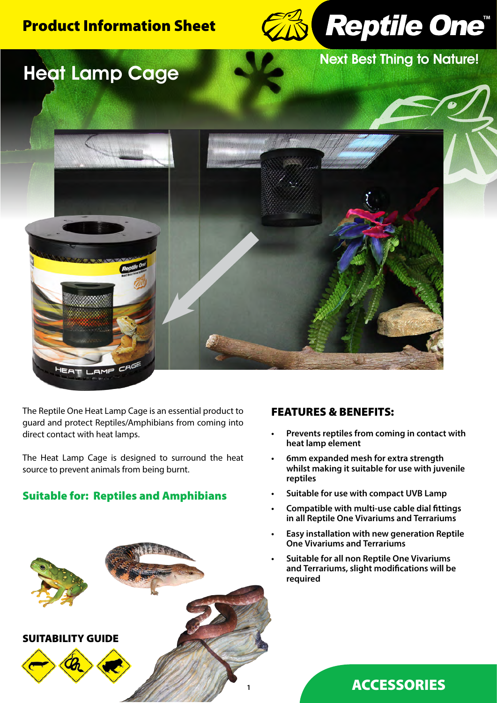# Product Information Sheet



Next Best Thing to Nature!





The Reptile One Heat Lamp Cage is an essential product to guard and protect Reptiles/Amphibians from coming into direct contact with heat lamps.

The Heat Lamp Cage is designed to surround the heat source to prevent animals from being burnt.

## Suitable for: Reptiles and Amphibians



## FEATURES & BENEFITS:

- **• Prevents reptiles from coming in contact with heat lamp element**
- **• 6mm expanded mesh for extra strength whilst making it suitable for use with juvenile reptiles**
- **• Suitable for use with compact UVB Lamp**
- **• Compatible with multi-use cable dial fittings in all Reptile One Vivariums and Terrariums**
- **• Easy installation with new generation Reptile One Vivariums and Terrariums**
- **• Suitable for all non Reptile One Vivariums and Terrariums, slight modifications will be required**

## ACCESSORIES